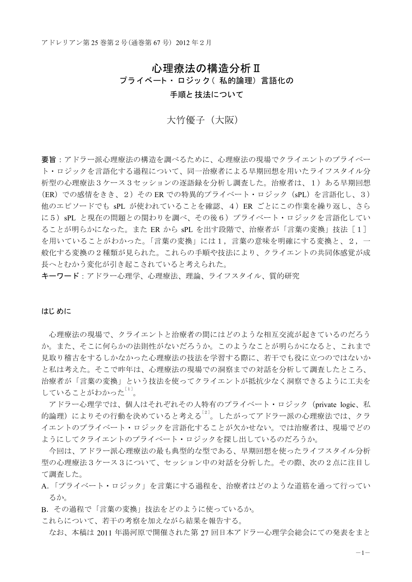# 心理療法の構造分析Ⅱ

プライベート・ロジック (私的論理)言語化の

手順と技法について

大竹優子 (大阪)

要旨:アドラー派心理療法の構造を調べるために、心理療法の現場でクライエントのプライベー ト・ロジックを言語化する過程について、同一治療者による早期回想を用いたライフスタイル分 析型の心理療法3ケース3セッションの逐語録を分析し調査した。治療者は、1)ある早期回想 (ER) での感情をきき、2) その ER での特異的プライベート・ロジック (sPL) を言語化し、3) 他のエピソードでも sPL が使われていることを確認、4) ER ごとにこの作業を繰り返し、さら に5) sPL と現在の問題との関わりを調べ、その後6) プライベート・ロジックを言語化してい ることが明らかになった。また ER から sPL を出す段階で、治療者が「言葉の変換」技法 [1] を用いていることがわかった。「言葉の変換」には1,言葉の意味を明確にする変換と、2,一 般化する変換の2種類が見られた。これらの手順や技法により、クライエントの共同体感覚が成 長へとむかう変化が引き起こされていると考えられた。

キーワード:アドラー心理学、心理療法、理論、ライフスタイル、質的研究

#### はじ めに

心理療法の現場で、クライエントと治療者の間にはどのような相互交流が起きているのだろう か。また、そこに何らかの法則性がないだろうか。このようなことが明らかになると、これまで 見取り稽古をするしかなかった心理療法の技法を学習する際に、若干でも役に立つのではないか と私は考えた。そこで昨年は、心理療法の現場での洞察までの対話を分析して調査したところ、 治療者が「言葉の変換」という技法を使ってクライエントが抵抗少なく洞察できるように工夫を していることがわかった $^{[1]}$ 。

アドラー心理学では、個人はそれぞれその人特有のプライベート·ロジック (private logic、私 的論理)によりその行動を決めていると考える<sup>[2]</sup>。したがってアドラー派の心理療法では、クラ イエントのプライベート・ロジックを言語化することが欠かせない。では治療者は、現場でどの ようにしてクライエントのプライベート・ロジックを探し出しているのだろうか。

今回は、アドラー派心理療法の最も典型的な型である、早期回想を使ったライフスタイル分析 型の心理療法3ケース3について、セッション中の対話を分析した。その際、次の2点に注目し て調査した。

- A.「プライベート・ロジック」を言葉にする過程を、治療者はどのような道筋を通って行ってい るか。
- B.その過程で「言葉の変換」技法をどのように使っているか。
- これらについて、若干の考察を加えながら結果を報告する。

なお、本稿は2011年湯河原で開催された第27回日本アドラー心理学会総会にての発表をまと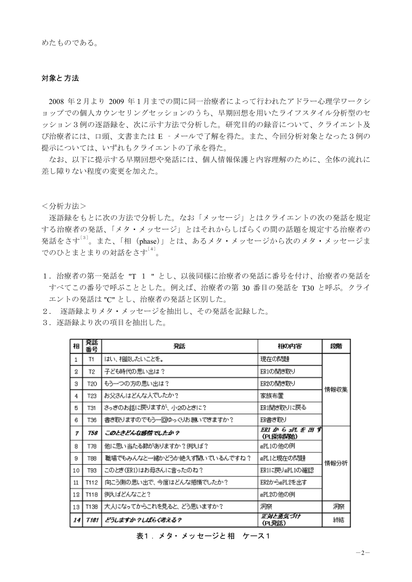# 対象と方法

2008 年2月より 2009 年1月までの間に同一治療者によって行われたアドラー心理学ワークシ ョップでの個人カウンセリングセッションのうち、早期回想を用いたライフスタイル分析型のセ ッション3例の逐語録を、次に示す方法で分析した。研究目的の録音について、クライエント及 び治療者には、口頭、文書または E - メールで了解を得た。また、今回分析対象となった3例の 提示については、いずれもクライエントの了承を得た。

なお、以下に提示する早期回想や発話には、個人情報保護と内容理解のために、全体の流れに 差し障りない程度の変更を加えた。

<分析方法>

逐語録をもとに次の方法で分析した。なお「メッセージ」とはクライエントの次の発話を規定 する治療者の発話、「メタ・メッセージ」とはそれからしばらくの間の話題を規定する治療者の 発話をさす<sup>[3]</sup>。また、「相 (phase)」とは、あるメタ・メッセージから次のメタ・メッセージま でのひとまとまりの対話をさす<sup>[4]</sup>。

- 1. 治療者の第一発話を "T 1 " とし、以後同様に治療者の発話に番号を付け、治療者の発話を すべてこの番号で呼ぶこととした。例えば、治療者の第 30 番目の発話を T30 と呼ぶ。クライ エントの発話は "C" とし、治療者の発話と区別した。
- 2. 逐語録よりメタ・メッセージを抽出し、その発話を記録した。
- 3. 逐語録より次の項目を抽出した。

| 相            | 発話<br>番号 | 発話                          | 相の内容                         | 段階   |
|--------------|----------|-----------------------------|------------------------------|------|
| $\mathbf{1}$ | T1       | はい、相談したいことを。                | 現在の問題                        |      |
| 2            | T2       | 子ども時代の思い出は?                 | ER1の間ぎ取り                     |      |
| з            | T20      | もう一つの方の思い出は?                | ER2の間き取り                     | 情報収集 |
| 4            | T23      | お父さんはどんな人でしたか?              | 家族布置                         |      |
| 5            | T31      | さっきのお話に戻りますが、小2のとぎに?        | ER1聞き取りに戻る                   |      |
| 6            | T36      | 書き取りますのでもう一回ゆっくりお願いできますか?   | ER書き取り                       |      |
| 7            | 758      | このときどんな感情でしたか?              | ERI から SPL を 出 ず<br>(PL探索関始) |      |
| 8            | T78      | 他に思い当たる節がありますか?例えば?         | sPL1の他の例                     |      |
| 9            | T88      | 職場でもみんなと一緒かどうか絶えず聞いているんですね? | sPL1と現在の問題                   | 情報分析 |
| 10           | T93      | このとぎ(ER1)はお母さんに言ったのね?       | ER1に戻りsPL1の確認                |      |
| $11\,$       | T112     | 向こう側の思い出で、今度はどんな感情でしたか?     | ER2からsPL2を出す                 |      |
| 12           | T118     | 例えばどんなこと?                   | sPL2の他の例                     |      |
| 13           | T13B     | 大人になってからこれを見ると、どう思いますか?     | 洞察                           | 洞察   |
| 14           | T 181    | どうしますか ?しばらく考える?            | 正対と勇気づけ<br>(PL発話)            | 絲結   |

表1. メタ・メッセージと相 ケース1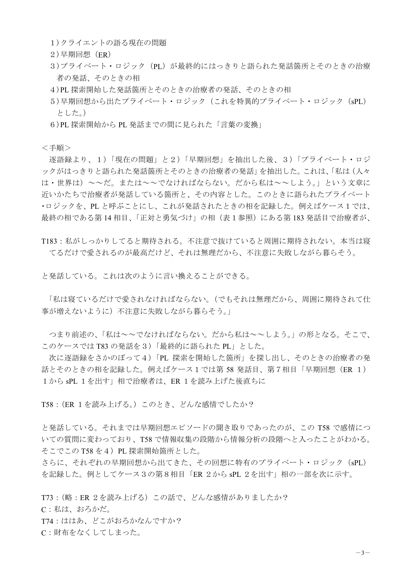- 1)クライエントの語る現在の問題
- 2) 早期回想 (ER)
- 3)プライベート·ロジック (PL) が最終的にはっきりと語られた発話箇所とそのときの治療 者の発話、そのときの相
- 4)PL 探索開始した発話箇所とそのときの治療者の発話、そのときの相
- 5)早期回想から出たプライベート·ロジック (これを特異的プライベート·ロジック (sPL) とした。)
- 6)PL 探索開始から PL 発話までの間に見られた「言葉の変換」

<手順>

逐語録より、1)「現在の問題」と2)「早期回想」を抽出した後、3)「プライベート・ロジ ックがはっきりと語られた発話箇所とそのときの治療者の発話」を抽出した。これは、「私は(人々 は・世界は) ~~だ。または~~でなければならない。だから私は~~しよう。」という文章に 近いかたちで治療者が発話している箇所と、その内容とした。このときに語られたプライベート •ロジックを、PL と呼ぶことにし、これが発話されたときの相を記録した。例えばケース1では、 最終の相である第14 相目、「正対と勇気づけ」の相(表1参照)にある第183 発話目で治療者が、

T183: 私がしっかりしてると期待される。不注意で抜けていると周囲に期待されない。本当は寝 てるだけで愛されるのが最高だけど、それは無理だから、不注意に失敗しながら暮らそう。

と発話している。これは次のように言い換えることができる。

「私は寝ているだけで愛されなければならない。(でもそれは無理だから、周囲に期待されて仕 事が増えないように)不注意に失敗しながら暮らそう。」

つまり前述の、「私は~~でなければならない。だから私は~~しよう。」の形となる。そこで、 このケースでは T83 の発話を3)「最終的に語られた PL」とした。

次に逐語録をさかのぼって4)「PL 探索を開始した箇所」を探し出し、そのときの治療者の発 話とそのときの相を記録した。例えばケース1では第58 発話目、第7相目「早期回想 (ER 1) 1から sPL 1を出す」相で治療者は、ER 1を読み上げた後直ちに

T58 : (ER 1を読み上げる。) このとき、どんな感情でしたか?

と発話している。それまでは早期回想エピソードの聞き取りであったのが、この T58 で感情につ いての質問に変わっており、T58 で情報収集の段階から情報分析の段階へと入ったことがわかる。 そこでこの T58 を4) PL 探索開始箇所とした。

さらに、それぞれの早期回想から出てきた、その回想に特有のプライベート・ロジック (sPL) を記録した。例としてケース3の第8相目「ER 2から sPL 2を出す」相の一部を次に示す。

T73: (略: ER 2を読み上げる) この話で、どんな感情がありましたか? C:私は、おろかだ。 T74: ははあ、どこがおろかなんですか? C: 財布をなくしてしまった。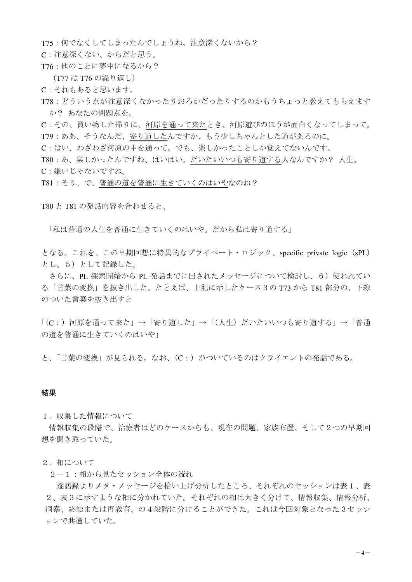T75: 何でなくしてしまったんでしょうね。注意深くないから?

C:注意深くない、からだと思う。

T76: 他のことに夢中になるから?

(T77 は T76 の繰り返し)

C: それもあると思います。

T78: どういう点が注意深くなかったりおろかだったりするのかもうちょっと教えてもらえます か?あなたの問題点を。

C: その、買い物した帰りに、河原を通って来たとき、河原遊びのほうが面白くなってしまって。 T79: ああ、そうなんだ、寄り道したんですか、もう少しちゃんとした道があるのに。

C:はい、わざわざ河原の中を通って。でも、楽しかったことしか覚えてないんです。

T80:あ、楽しかったんですね、はいはい。だいたいいつも寄り道する人なんですか? 人生。 C:嫌いじゃないですね。

T81 : そう、で、普通の道を普通に生きていくのはいやなのね?

T80 と T81 の発話内容を合わせると、

「私は普通の人生を普通に生きていくのはいや。だから私は寄り道する」

となる。これを、この早期回想に特異的なプライベート・ロジック、specific private logic (sPL) とし、5)として記録した。

さらに、PL 探索開始から PL 発話までに出されたメッセージについて検討し、6) 使われてい る「言葉の変換」を抜き出した。たとえば、上記に示したケース3の T73 から T81 部分の、下線 のついた言葉を抜き出すと

「(C:) 河原を通って来た」→「寄り道した」→「(人生) だいたいいつも寄り道する」→「普通 の道を普通に生きていくのはいや」

と、「言葉の変換」が見られる。なお、(C:) がついているのはクライエントの発話である。

## 結果

1. 収集した情報について

情報収集の段階で、治療者はどのケースからも、現在の問題、家族布置、そして2つの早期回 想を聞き取っていた。

#### 2. 相について

2-1:相から見たセッション全体の流れ

逐語録よりメタ・メッセージを拾い上げ分析したところ、それぞれのセッションは表1、表 2、表3に示すような相に分かれていた。それぞれの相は大きく分けて、情報収集、情報分析、 洞察、終結または再教育、の4段階に分けることができた。これは今回対象となった3セッシ ョンで共通していた。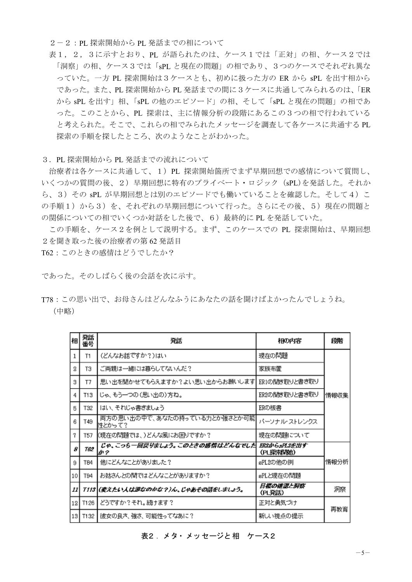2-2: PL 探索開始から PL 発話までの相について

表1, 2, 3に示すとおり、PL が語られたのは、ケース1では「正対」の相、ケース2では 「洞察」の相、ケース3では「sPL と現在の問題」の相であり、3つのケースでそれぞれ異な っていた。一方 PL 探索開始は3ケースとも、初めに扱った方の ER から sPL を出す相から であった。また、PL 探索開始から PL 発話までの間に3ケースに共通してみられるのは、「ER から sPL を出す」相、「sPL の他のエピソード」の相、そして「sPL と現在の問題」の相であ った。このことから、PL 探索は、主に情報分析の段階にあるこの3つの相で行われている と考えられた。そこで、これらの相でみられたメッセージを調査して各ケースに共通する PL 探索の手順を探したところ、次のようなことがわかった。

3. PL 探索開始から PL 発話までの流れについて

治療者は各ケースに共通して、1) PL 探索開始箇所でまず早期回想での感情について質問し、 いくつかの質問の後、2)早期回想に特有のプライベート·ロジック (sPL)を発話した。それか ら、3) その sPL が早期回想とは別のエピソードでも働いていることを確認した。そして4) こ の手順1)から3)を、それぞれの早期回想について行った。さらにその後、5)現在の問題と の関係についての相でいくつか対話をした後で、6)最終的に PL を発話していた。

この手順を、ケース2を例として説明する。まず、このケースでの PL 探索開始は、早期回想 2を聞き取った後の治療者の第62発話目

T62: このときの感情はどうでしたか?

であった。そのしばらく後の会話を次に示す。

T78:この思い出で、お母さんはどんなふうにあなたの話を聞けばよかったんでしょうね。 (中略)

| 相               | 発話<br>番号        | 発話                                     | 相の内容                     | 機階   |
|-----------------|-----------------|----------------------------------------|--------------------------|------|
| 1               | T1              | (どんなお話ですか?)はい                          | 現在の問題                    |      |
| 2               | ТЗ              | ご両親は一緒には暮らしてないんだ?                      | 家族布置                     |      |
| З               | T7              | 思い出を聞かせてもらえますか?よい思い出からお願いします           | ER1の間ぎ取りと書き取り            |      |
| 4               | T13             | じゃ、もう一つの(思い出の)方ね。                      | ER2の間ぎ取りと書き取り            | 情報収集 |
| 5               | T32             | はい、それじゃ書きましょう                          | ERの板書                    |      |
| 6               | T49             | 両方の思い出の中で、あなたの持っている力とか強さとか可能<br>性とかって? | バーソナル・ストレンクス             |      |
| 7               | T57             | (現在の問題では、)どんな風にお困りですか?                 | 現在の問題について                |      |
| 8               | 762             | じゃ、こっちー回戻りましょう。このときの感情はどんなでした<br>か?    | ERZがらsPLZを出す<br>(PL探索默哈) |      |
| 9               | T <sub>84</sub> | 他にどんなことがありました?                         | sPL2の他の例                 | 情報分析 |
| 10 <sub>1</sub> | T94             | お姑さんとの間ではどんなことがありますか?                  | sPLと現在の問題                |      |
| 11 I            |                 | 7113 (変えたい人は誰なのかな?)ん、じゃあその話をしましょう。     | 目標の確認と洞察<br>(PL発話)       | 洞察   |
|                 | 12 T126         | どうですか?それ。続ナます?                         | 正対と勇気づけ                  | 再教育  |
|                 |                 | 13  T132   彼女の良さ、強さ、可能性ってなあに?          | 新しい視点の提示                 |      |

表2. メタ・メッセージと 相 ケース2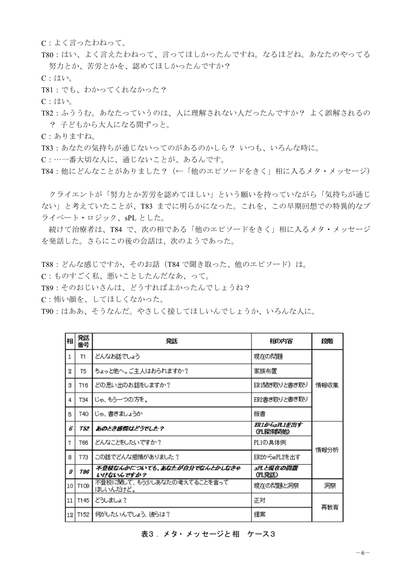C: よく言ったわねって。

T80:はい、よく言えたわねって、言ってほしかったんですね。なるほどね。あなたのやってる 努力とか、苦労とかを、認めてほしかったんですか?

C:はい。

T81: でも、わかってくれなかった?

C:はい。

T82: ふううむ。あなたっていうのは、人に理解されない人だったんですか? よく誤解されるの ? 子どもから大人になる間ずっと。

C:ありますね。

T83: あなたの気持ちが通じないってのがあるのかしら? いつも、いろんな時に。

C:…一番大切な人に、通じないことが、あるんです。

T84 : 他にどんなことがありました? (←「他のエピソードをきく」相に入るメタ・メッセージ)

クライエントが「努力とか苦労を認めてほしい」という願いを持っていながら「気持ちが通じ ない」と考えていたことが、T83 までに明らかになった。これを、この早期回想での特異的なプ ライベート・ロジック、sPL とした。

続けて治療者は、T84 で、次の相である「他のエピソードをきく」相に入るメタ・メッセージ を発話した。さらにこの後の会話は、次のようであった。

T88 : どんな感じですか、そのお話 (T84 で聞き取った、他のエピソード) は。

C: ものすごく私、悪いことしたんだなあ、って。

T89: そのおじいさんは、どうすればよかったんでしょうね?

C:怖い顔を、してほしくなかった。

T90:はああ、そうなんだ。やさしく接してほしいんでしょうか、いろんな人に。

| 相            | 発話<br>番号       | 発話                                       | 相の内容                    | 段階   |
|--------------|----------------|------------------------------------------|-------------------------|------|
| $\mathbf{1}$ | T1             | どんなお話でしょう                                | 現在の問題                   |      |
| 2            | T <sub>5</sub> | ちょっと他へ。ご主人はおられますか?                       | 家族布置                    |      |
| З            | T16            | どの思い出のお話をしますか?                           | ER1開き取りと書き取り            | 情報収集 |
| 4            | T34            | じゃ、もう一つの方を。                              | ER2書き取りと書き取り            |      |
| 5            | T40            | じゃ、書きましょうか                               | 板書                      |      |
| Б            | 752            | あのとき感情はどうでした?                            | ER1がらsfL1を出す<br>(乳探索閉始) | 情報分析 |
| $\tau$       | T66            | どんなことをしたいですか?                            | PL1の具体例                 |      |
| 8            | T73            | この話でどんな感情がありました?                         | ER2からsPL2を出す            |      |
| 9            | T96            | 不登校なんかについても、あなたが自分でなんとかしなきゃ<br>いけないんですか? | sPLと現在の問題<br>(乳発話)      |      |
| 10           | T109           | 不登校に関して、もう少しあなたの考えてることを言って<br>ほしいんだけど。   | 現在の問題と洞察                | 洞察   |
| 11           | T145           | どうしましょ?                                  | 正対                      | 再教育  |
| 12           | T152           | 何がしたいんでしょう、彼らは?                          | 提案                      |      |

表3. メタ・メッセージと相 ケース3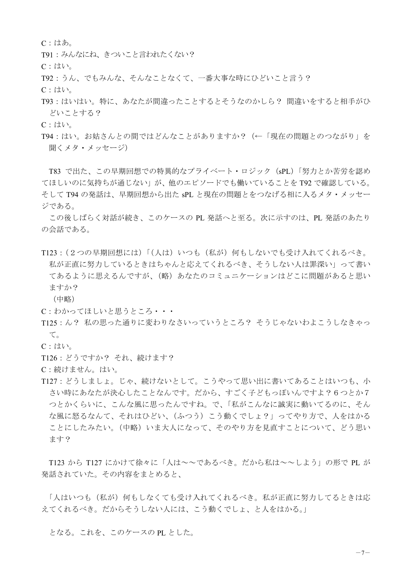C:はあ。

T91 : みんなにね、 きついこと言われたくない?

C:はい。

T92:うん、でもみんな、そんなことなくて、一番大事な時にひどいこと言う?

C:はい。

T93:はいはい。特に、あなたが間違ったことするとそうなのかしら? 間違いをすると相手がひ どいことする?

C:はい。

T94:はい。お姑さんとの間ではどんなことがありますか? (←「現在の問題とのつながり」を 聞くメタ・メッセージ

T83 で出た、この早期回想での特異的なプライベート·ロジック (sPL)「努力とか苦労を認め てほしいのに気持ちが通じない」が、他のエピソードでも働いていることをT92で確認している。 そして T94 の発話は、早期回想から出た sPL と現在の問題とをつなげる相に入るメタ・メッセー ジである。

この後しばらく対話が続き、このケースの PL 発話へと至る。次に示すのは、PL 発話のあたり の会話である。

- T123 : (2つの早期回想には)「(人は) いつも (私が) 何もしないでも受け入れてくれるべき。 私が正直に努力しているときはちゃんと応えてくれるべき、そうしない人は罪深い」って書い てあるように思えるんですが、(略) あなたのコミュニケーションはどこに問題があると思い ますか?
	- (中略)

C: わかってほしいと思うところ・・・

- T125: ん? 私の思った通りに変わりなさいっていうところ? そうじゃないわよこうしなきゃっ  $\tau$
- C:はい。

T126 : どうですか? それ、続けます?

- C: 続けません。はい。
- T127: どうしましょ。じゃ、続けないとして。こうやって思い出に書いてあることはいつも、小 さい時にあなたが決心したことなんです。だから、すごく子どもっぽいんですよ?6つとか7 つとかくらいに、こんな風に思ったんですね。で、「私がこんなに誠実に動いてるのに、そん な風に怒るなんて、それはひどい、(ふつう) こう動くでしょ?」ってやり方で、人をはかる ことにしたみたい。(中略)いま大人になって、そのやり方を見直すことについて、どう思い ます?

T123 から T127 にかけて徐々に「人は~~であるべき。だから私は~~しよう」の形で PL が 発話されていた。その内容をまとめると、

「人はいつも(私が)何もしなくても受け入れてくれるべき。私が正直に努力してるときは応 えてくれるべき。 だからそうしない人には、 こう動くでしょ、 と人をはかる。」

となる。これを、このケースのPLとした。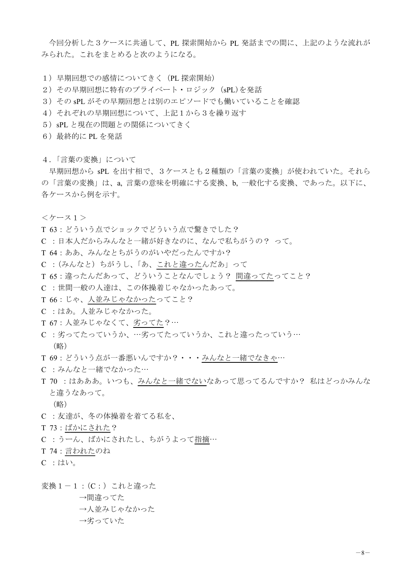今回分析した3ケースに共通して、PL 探索開始から PL 発話までの間に、上記のような流れが みられた。これをまとめると次のようになる。

- 1) 早期回想での感情についてきく (PL 探索開始)
- 2) その早期回想に特有のプライベート·ロジック (sPL)を発話
- 3) その sPL がその早期回想とは別のエピソードでも働いていることを確認
- 4) それぞれの早期回想について、上記1から3を繰り返す
- 5) sPL と現在の問題との関係についてきく
- 6) 最終的に PL を発話
- 4.「言葉の変換」について

早期回想から sPL を出す相で、3ケースとも2種類の「言葉の変換」が使われていた。それら の「言葉の変換」は、a、言葉の意味を明確にする変換、b、一般化する変換、であった。以下に、 各ケースから例を示す。

㸺ࢫ࣮ࢣ㸯㸼

- T 63 : どういう点でショックでどういう点で驚きでした?
- C : 日本人だからみんなと一緒が好きなのに、なんで私ちがうの? って。
- T 64 : ああ、みんなとちがうのがいやだったんですか?
- C : (みんなと) ちがうし、「あ、これと違ったんだあ」って
- T 65 : 違ったんだあって、どういうことなんでしょう? 間違ってたってこと?
- C :世間一般の人達は、この体操着じゃなかったあって。
- T 66 : じゃ、人並みじゃなかったってこと?
- C : はあ。人並みじゃなかった。
- T 67 : 人並みじゃなくて、劣ってた?…
- C: 劣ってたっていうか、…劣ってたっていうか、これと違ったっていう…
	- (略)

T 69: どういう点が一番悪いんですか?···みんなと一緒でなきゃ…

- C : みんなと一緒でなかった…
- T 70 : はあああ。いつも、みんなと一緒でないなあって思ってるんですか? 私はどっかみんな と違うなあって。

(略)

- C : 友達が、冬の体操着を着てる私を、
- T 73 : ばかにされた?
- C: うーん、ばかにされたし、ちがうよって指摘…
- T 74 : 言われたのね
- $C$   $:\mathbb{C} \cup \mathbb{C}$

変換1-1: (C:) これと違った

→間違ってた →人並みじゃなかった →劣っていた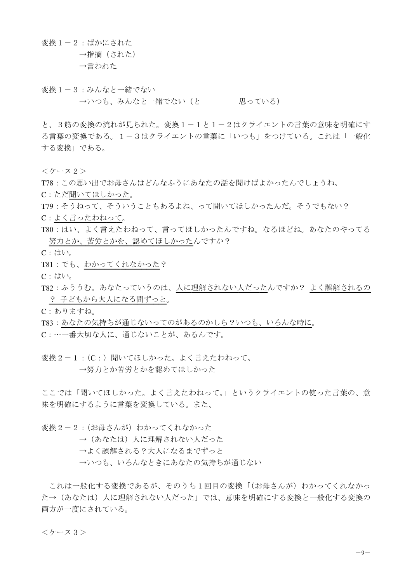変換 $1 - 2$ : ばかにされた

→指摘(された) →言われた

変換1-3:みんなと一緒でない

→いつも、みんなと一緒でない (と 思っている)

と、3筋の変換の流れが見られた。変換1-1と1-2はクライエントの言葉の意味を明確にす る言葉の変換である。1-3はクライエントの言葉に「いつも」をつけている。これは「一般化 する変換」である。

㸺ࢫ࣮ࢣ㸰㸼

T78: この思い出でお母さんはどんなふうにあなたの話を聞けばよかったんでしょうね。

C: ただ聞いてほしかった。

T79: そうねって、そういうこともあるよね、って聞いてほしかったんだ。そうでもない?

C:よく言ったわねって。

- T80:はい、よく言えたわねって、言ってほしかったんですね。なるほどね。あなたのやってる 努力とか、苦労とかを、認めてほしかったんですか?
- C:はい。

T81: でも、わかってくれなかった?

C:はい。

T82: ふううむ。あなたっていうのは、人に理解されない人だったんですか? よく誤解されるの ? 子どもから大人になる間ずっと。

C:ありますね。

T83: あなたの気持ちが通じないってのがあるのかしら?いつも、いろんな時に。

C:…一番大切な人に、通じないことが、あるんです。

変換2-1: (C:) 聞いてほしかった。よく言えたわねって。 →努力とか苦労とかを認めてほしかった

ここでは「聞いてほしかった。よく言えたわねって。」というクライエントの使った言葉の、意 味を明確にするように言葉を変換している。また、

変換2-2: (お母さんが) わかってくれなかった

→ (あなたは) 人に理解されない人だった

→よく誤解される?大人になるまでずっと

→いつも、いろんなときにあなたの気持ちが通じない

これは一般化する変換であるが、そのうち1回目の変換「(お母さんが)わかってくれなかっ た→ (あなたは) 人に理解されない人だった」では、意味を明確にする変換と一般化する変換の 両方が一度にされている。

㸺ࢫ࣮ࢣ㸱㸼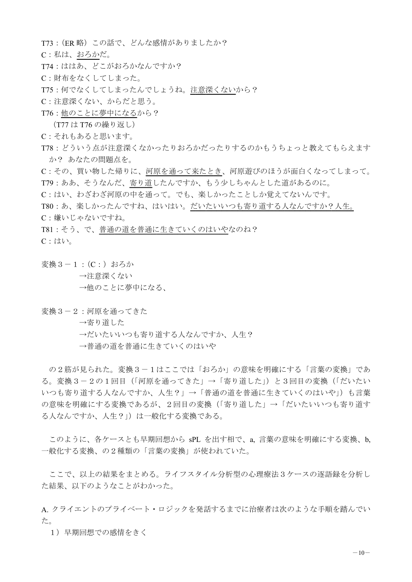T73: (ER 略) この話で、どんな感情がありましたか?

C:私は、おろかだ。

- T74: ははあ、どこがおろかなんですか?
- C: 財布をなくしてしまった。
- T75: 何でなくしてしまったんでしょうね。注意深くないから?
- C:注意深くない、からだと思う。
- T76: 他のことに夢中になるから?
	- (T77 は T76 の繰り返し)
- C: それもあると思います。
- T78: どういう点が注意深くなかったりおろかだったりするのかもうちょっと教えてもらえます か? あなたの問題点を。
- C:その、買い物した帰りに、河原を通って来たとき、河原遊びのほうが面白くなってしまって。 T79:ああ、そうなんだ、寄り道したんですか、もう少しちゃんとした道があるのに。
- C:はい、わざわざ河原の中を通って。でも、楽しかったことしか覚えてないんです。

T80:あ、楽しかったんですね、はいはい。だいたいいつも寄り道する人なんですか?人生。 C:嫌いじゃないですね。

T81 : そう、で、普通の道を普通に生きていくのはいやなのね? C:はい。

変換 3-1: (C:) おろか

→注意深くない

- →他のことに夢中になる、
- 変換3-2:河原を通ってきた
	- →寄り道した
	- →だいたいいつも寄り道する人なんですか、人生?
	- →普通の道を普通に生きていくのはいや

の2筋が見られた。変換3-1はここでは「おろか」の意味を明確にする「言葉の変換」であ る。変換3-2の1回目(「河原を通ってきた」→「寄り道した」)と3回目の変換(「だいたい いつも寄り道する人なんですか、人生?」→「普通の道を普通に生きていくのはいや」)も言葉 の意味を明確にする変換であるが、2回目の変換(「寄り道した」→「だいたいいつも寄り道す る人なんですか、人生?」)は一般化する変換である。

このように、各ケースとも早期回想から sPL を出す相で、a. 言葉の意味を明確にする変換、b. 一般化する変換、の2種類の「言葉の変換」が使われていた。

ここで、以上の結果をまとめる。ライフスタイル分析型の心理療法3ケースの逐語録を分析し た結果、以下のようなことがわかった。

A. クライエントのプライベート・ロジックを発話するまでに治療者は次のような手順を踏んでい ࠋࡓ

1) 早期回想での感情をきく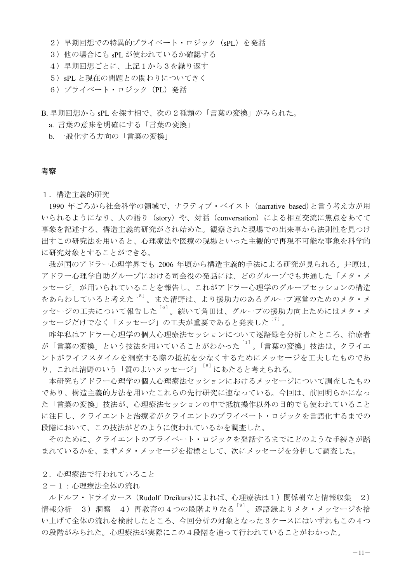- 2) 早期回想での特異的プライベート·ロジック (sPL) を発話
- 3) 他の場合にも sPL が使われているか確認する
- 4) 早期回想ごとに、上記1から3を繰り返す
- 5) sPL と現在の問題との関わりについてきく
- 6) プライベート・ロジック (PL) 発話
- B. 早期回想から sPL を探す相で、次の2種類の「言葉の変換」がみられた。
	- a. 言葉の意味を明確にする「言葉の変換」
	- b. 一般化する方向の「言葉の変換」

## 考察

### 1. 構造主義的研究

1990 年ごろから社会科学の領域で、ナラティブ・ベイスト (narrative based)と言う考え方が用 いられるようになり、人の語り (story) や、対話 (conversation) による相互交流に焦点をあてて 事象を記述する、構造主義的研究がされ始めた。観察された現場での出来事から法則性を見つけ 出すこの研究法を用いると、心理療法や医療の現場といった主観的で再現不可能な事象を科学的 に研究対象とすることができる。

我が国のアドラー心理学界でも 2006 年頃から構造主義的手法による研究が見られる。井原は、 アドラー心理学自助グループにおける司会役の発話には、どのグループでも共通した「メタ・メ ッセージ」が用いられていることを報告し、これがアドラー心理学のグループセッションの構造 をあらわしていると考えた<sup>[5]</sup>。また清野は、より援助力のあるグループ運営のためのメタ・メ ッセージの工夫について報告した<sup>[6]</sup>。続いて角田は、グループの援助力向上ためにはメタ・メ ッセージだけでなく「メッセージ」の工夫が重要であると発表した<sup>[7]</sup>。

昨年私はアドラー心理学の個人心理療法セッションについて逐語録を分析したところ、治療者 が「言葉の変換」という技法を用いていることがわかった<sup>[1]</sup>。「言葉の変換」技法は、クライエ ントがライフスタイルを洞察する際の抵抗を少なくするためにメッセージを工夫したものであ り、これは清野のいう「質のよいメッセージ」<sup>[8]</sup>にあたると考えられる。

本研究もアドラー心理学の個人心理療法セッションにおけるメッセージについて調査したもの であり、構造主義的方法を用いたこれらの先行研究に連なっている。今回は、前回明らかになっ た「言葉の変換」技法が、心理療法セッションの中で抵抗操作以外の目的でも使われていること に注目し、クライエント物プライベート·ロジックを言語化するまでの 段階において、この技法がどのように使われているかを調査した。

そのために、クライエントのプライベート·ロジックを発話するまでにどのような手続きが踏 まれているかを、まずメタ・メッセージを指標として、次にメッセージを分析して調査した。

#### 2.心理療法で行われていること

### 2-1: 心理療法全体の流れ

ルドルフ·ドライカース (Rudolf Dreikurs)によれば、心理療法は1)関係樹立と情報収集 2) 情報分析 3) 洞察 4) 再教育の4つの段階よりなる<sup>[9]</sup>。逐語録よりメタ・メッセージを拾 い上げて全体の流れを検討したところ、今回分析の対象となった3ケースにはいずれもこの4つ の段階がみられた。心理療法が実際にこの4段階を追って行われていることがわかった。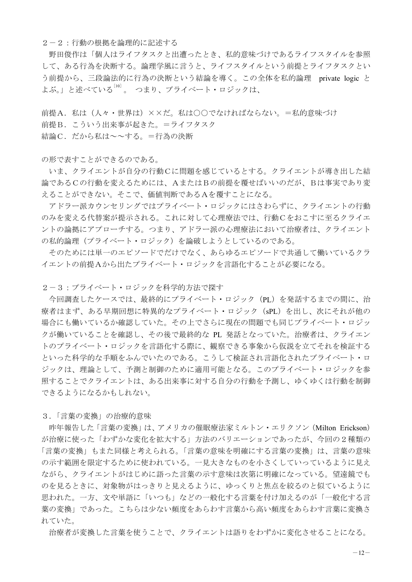2-2: 行動の根拠を論理的に記述する

野田俊作は「個人はライフタスクと出遭ったとき、私的意味づけであるライフスタイルを参照 して、ある行為を決断する。論理学風に言うと、ライフスタイルという前提とライフタスクとい う前提から、三段論法的に行為の決断という結論を導く。この全体を私的論理 private logic と よぶ。」と述べている<sup>[10]</sup>。 つまり、プライベート・ロジックは、

前提A. 私は(人々・世界は) ××だ。私は○○でなければならない。=私的意味づけ 前提B. こういう出来事が起きた。=ライフタスク 結論C. だから私は~~する。=行為の決断

の形で表すことができるのである。

いま、クライエントが自分の行動Cに問題を感じているとする。クライエントが導き出した結 論であるCの行動を変えるためには、AまたはBの前提を覆せばいいのだが、Bは事実であり変 えることができない。そこで、価値判断であるAを覆すことになる。

アドラー派カウンセリングではプライベート·ロジックにはさわらずに、クライエントの行動 のみを変える代替案が提示される。これに対して心理療法では、行動Cをおこすに至るクライエ ントの論拠にアプローチする。つまり、アドラー派の心理療法において治療者は、クライエント の私的論理(プライベート・ロジック)を論破しようとしているのである。

そのためには単一のエピソードでだけでなく、あらゆるエピソードで共通して働いているクラ イエントの前提Aから出たプライベート·ロジックを言語化することが必要になる。

2-3: プライベート・ロジックを科学的方法で探す

今回調査したケースでは、最終的にプライベート·ロジック (PL) を発話するまでの間に、治 療者はまず、ある早期回想に特異的なプライベート・ロジック (sPL) を出し、次にそれが他の 場合にも働いているか確認していた。その上でさらに現在の問題でも同じプライベート・ロジッ クが働いていることを確認し、その後で最終的な PL 発話となっていた。治療者は、クライエン トのプライベート・ロジックを言語化する際に、観察できる事象から仮説を立てそれを検証する といった科学的な手順をふんでいたのである。こうして検証され言語化されたプライベート・ロ ジックは、理論として、予測と制御のために適用可能となる。このプライベート・ロジックを参 照することでクライエントは、ある出来事に対する自分の行動を予測し、ゆくゆくは行動を制御 できるようになるかもしれない。

3.「言葉の変換」の治療的意味

昨年報告した「言葉の変換」は、アメリカの催眠療法家ミルトン・エリクソン (Milton Erickson) が治療に使った「わずかな変化を拡大する」方法のバリエーションであったが、今回の2種類の 「言葉の変換」もまた同様と考えられる。「言葉の意味を明確にする言葉の変換」は、言葉の意味 の示す範囲を限定するために使われている。一見大きなものを小さくしていっているように見え ながら、クライエントがはじめに語った言葉の示す意味は次第に明確になっている。望遠鏡でも のを見るときに、材象物がはっきりと見えるように、ゆっくりと焦点を絞るのと似ているように 思われた。一方、文や単語に「いつも」などの一般化する言葉を付け加えるのが「一般化する言 葉の変換」であった。こちらは少ない頻度をあらわす言葉から高い頻度をあらわす言葉に変換さ れていた。

治療者が変換した言葉を使うことで、クライエントは語りをわずかに変化させることになる。